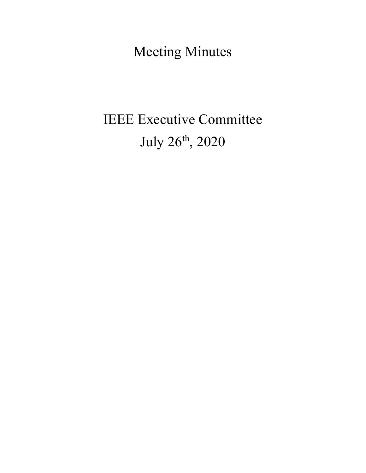Meeting Minutes

# IEEE Executive Committee July 26th, 2020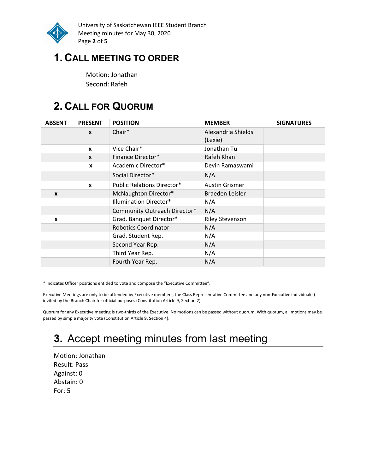

University of Saskatchewan IEEE Student Branch Meeting minutes for May 30, 2020 Page 2 of 5

### 1. CALL MEETING TO ORDER

Motion: Jonathan Second: Rafeh

# 2. CALL FOR QUORUM

| <b>ABSENT</b> | <b>PRESENT</b>   | <b>POSITION</b>                   | <b>MEMBER</b>                 | <b>SIGNATURES</b> |
|---------------|------------------|-----------------------------------|-------------------------------|-------------------|
|               | $\boldsymbol{x}$ | Chair*                            | Alexandria Shields<br>(Lexie) |                   |
|               | $\boldsymbol{x}$ | Vice Chair*                       | Jonathan Tu                   |                   |
|               | $\mathbf{x}$     | Finance Director*                 | Rafeh Khan                    |                   |
|               | $\boldsymbol{x}$ | Academic Director*                | Devin Ramaswami               |                   |
|               |                  | Social Director*                  | N/A                           |                   |
|               | $\mathbf{x}$     | <b>Public Relations Director*</b> | <b>Austin Grismer</b>         |                   |
| X             |                  | McNaughton Director*              | Braeden Leisler               |                   |
|               |                  | Illumination Director*            | N/A                           |                   |
|               |                  | Community Outreach Director*      | N/A                           |                   |
| x             |                  | Grad. Banquet Director*           | <b>Riley Stevenson</b>        |                   |
|               |                  | <b>Robotics Coordinator</b>       | N/A                           |                   |
|               |                  | Grad. Student Rep.                | N/A                           |                   |
|               |                  | Second Year Rep.                  | N/A                           |                   |
|               |                  | Third Year Rep.                   | N/A                           |                   |
|               |                  | Fourth Year Rep.                  | N/A                           |                   |

\* Indicates Officer positions entitled to vote and compose the "Executive Committee".

Executive Meetings are only to be attended by Executive members, the Class Representative Committee and any non-Executive individual(s) invited by the Branch Chair for official purposes (Constitution Article 9, Section 2).

Quorum for any Executive meeting is two-thirds of the Executive. No motions can be passed without quorum. With quorum, all motions may be passed by simple majority vote (Constitution Article 9, Section 4).

# 3. Accept meeting minutes from last meeting

Motion: Jonathan Result: Pass Against: 0 Abstain: 0 For: 5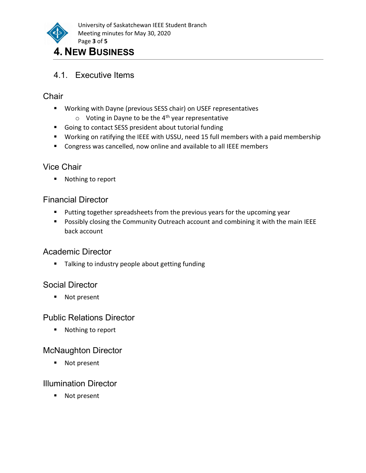

# 4.1. Executive Items

#### **Chair**

- Working with Dayne (previous SESS chair) on USEF representatives
	- $\circ$  Voting in Dayne to be the 4<sup>th</sup> year representative
- Going to contact SESS president about tutorial funding
- Working on ratifying the IEEE with USSU, need 15 full members with a paid membership
- **Congress was cancelled, now online and available to all IEEE members**

#### Vice Chair

■ Nothing to report

#### Financial Director

- **Putting together spreadsheets from the previous years for the upcoming year**
- **Possibly closing the Community Outreach account and combining it with the main IEEE** back account

#### Academic Director

**Talking to industry people about getting funding** 

#### Social Director

■ Not present

#### Public Relations Director

■ Nothing to report

#### McNaughton Director

■ Not present

#### Illumination Director

■ Not present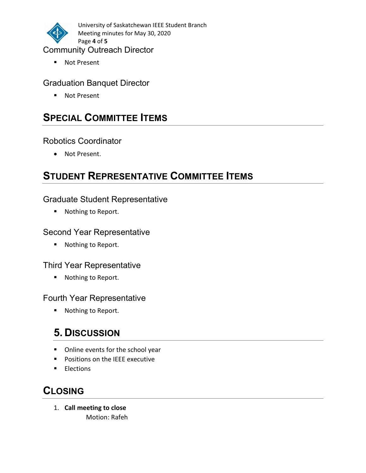

University of Saskatchewan IEEE Student Branch Meeting minutes for May 30, 2020 Page 4 of 5

#### Community Outreach Director

■ Not Present

#### Graduation Banquet Director

■ Not Present

### **SPECIAL COMMITTEE ITEMS**

#### Robotics Coordinator

Not Present.

# STUDENT REPRESENTATIVE COMMITTEE ITEMS

#### Graduate Student Representative

■ Nothing to Report.

#### Second Year Representative

■ Nothing to Report.

#### Third Year Representative

■ Nothing to Report.

#### Fourth Year Representative

■ Nothing to Report.

## 5. DISCUSSION

- Online events for the school year
- **Positions on the IEEE executive**
- **Elections**

### **CLOSING**

1. Call meeting to close Motion: Rafeh